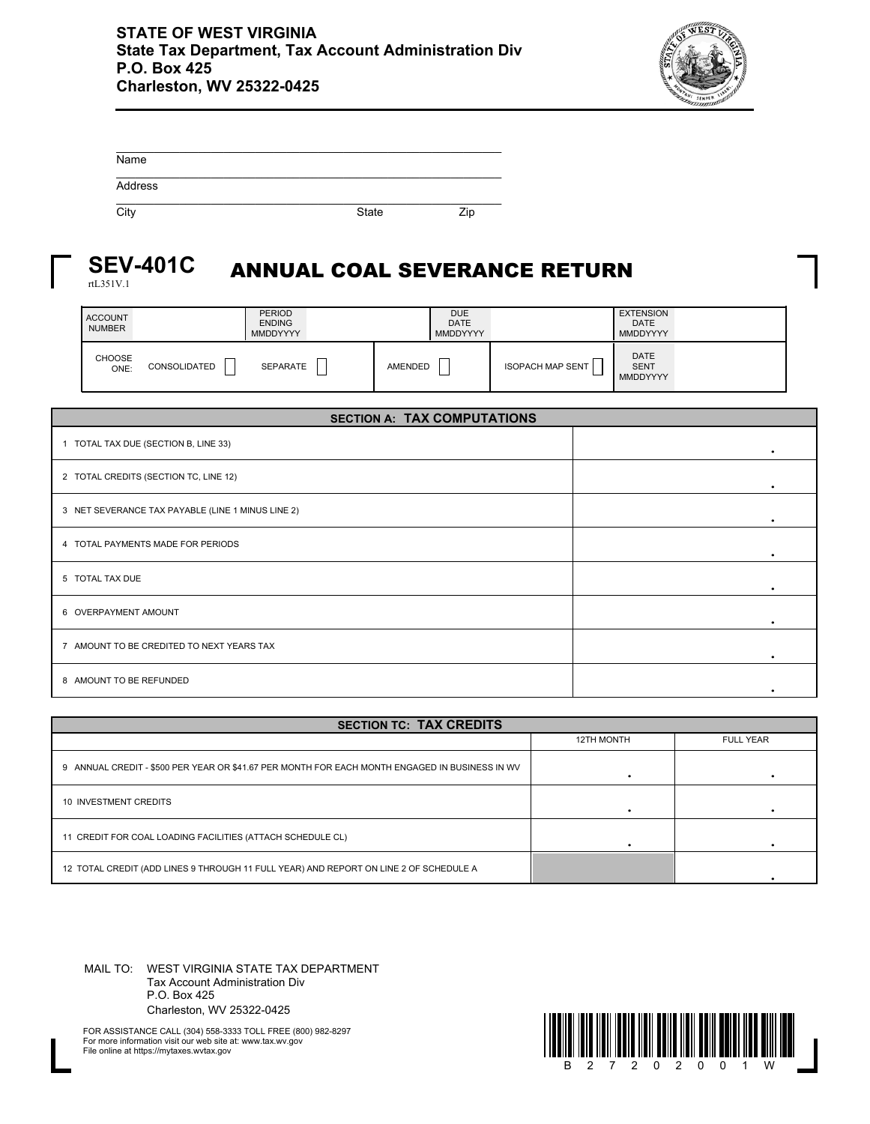

| Name    |              |     |
|---------|--------------|-----|
| Address |              |     |
| City    | <b>State</b> | Zip |

## ANNUAL COAL SEVERANCE RETURN **SEV-401C**

rtL351V.1

| <b>ACCOUNT</b><br><b>NUMBER</b> |              | <b>PERIOD</b><br><b>ENDING</b><br><b>MMDDYYYY</b> |         | <b>DUE</b><br><b>DATE</b><br><b>MMDDYYYY</b> |                         | <b>EXTENSION</b><br><b>DATE</b><br>MMDDYYYY   |  |
|---------------------------------|--------------|---------------------------------------------------|---------|----------------------------------------------|-------------------------|-----------------------------------------------|--|
| CHOOSE<br>ONE:                  | CONSOLIDATED | <b>SEPARATE</b>                                   | AMENDED | –<br>_                                       | <b>ISOPACH MAP SENT</b> | <b>DATE</b><br><b>SENT</b><br><b>MMDDYYYY</b> |  |

| <b>SECTION A: TAX COMPUTATIONS</b>                |   |  |  |  |  |
|---------------------------------------------------|---|--|--|--|--|
| 1 TOTAL TAX DUE (SECTION B, LINE 33)              | ٠ |  |  |  |  |
| 2 TOTAL CREDITS (SECTION TC, LINE 12)             |   |  |  |  |  |
| 3 NET SEVERANCE TAX PAYABLE (LINE 1 MINUS LINE 2) |   |  |  |  |  |
| 4 TOTAL PAYMENTS MADE FOR PERIODS                 |   |  |  |  |  |
| 5 TOTAL TAX DUE                                   |   |  |  |  |  |
| 6 OVERPAYMENT AMOUNT                              |   |  |  |  |  |
| 7 AMOUNT TO BE CREDITED TO NEXT YEARS TAX         |   |  |  |  |  |
| 8 AMOUNT TO BE REFUNDED                           |   |  |  |  |  |

| <b>SECTION TC: TAX CREDITS</b>                                                                 |                   |                  |  |  |  |  |
|------------------------------------------------------------------------------------------------|-------------------|------------------|--|--|--|--|
|                                                                                                | <b>12TH MONTH</b> | <b>FULL YEAR</b> |  |  |  |  |
| 9 ANNUAL CREDIT - \$500 PER YEAR OR \$41.67 PER MONTH FOR EACH MONTH ENGAGED IN BUSINESS IN WV |                   |                  |  |  |  |  |
| 10 INVESTMENT CREDITS                                                                          |                   |                  |  |  |  |  |
| 11 CREDIT FOR COAL LOADING FACILITIES (ATTACH SCHEDULE CL)                                     |                   |                  |  |  |  |  |
| 12 TOTAL CREDIT (ADD LINES 9 THROUGH 11 FULL YEAR) AND REPORT ON LINE 2 OF SCHEDULE A          |                   |                  |  |  |  |  |

MAIL TO: WEST VIRGINIA STATE TAX DEPARTMENT Tax Account Administration Div P.O. Box 425 Charleston, WV 25322-0425



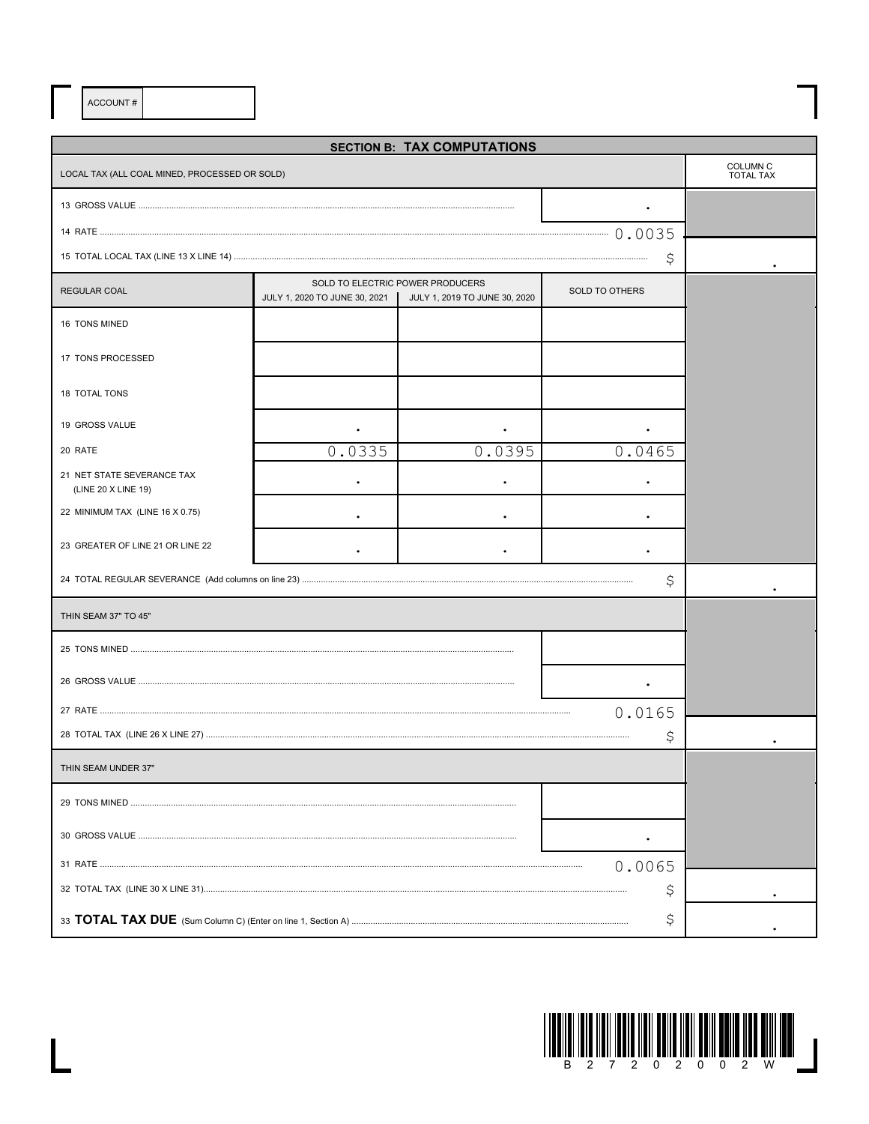ACCOUNT#

 $\overline{\mathsf{L}}$ 

| <b>SECTION B: TAX COMPUTATIONS</b>                |                               |                                                                   |                       |                                         |  |  |  |  |
|---------------------------------------------------|-------------------------------|-------------------------------------------------------------------|-----------------------|-----------------------------------------|--|--|--|--|
| LOCAL TAX (ALL COAL MINED, PROCESSED OR SOLD)     |                               |                                                                   |                       | COLUMN <sub>C</sub><br><b>TOTAL TAX</b> |  |  |  |  |
|                                                   |                               |                                                                   |                       |                                         |  |  |  |  |
|                                                   |                               |                                                                   |                       |                                         |  |  |  |  |
|                                                   |                               |                                                                   | \$                    |                                         |  |  |  |  |
| <b>REGULAR COAL</b>                               | JULY 1, 2020 TO JUNE 30, 2021 | SOLD TO ELECTRIC POWER PRODUCERS<br>JULY 1, 2019 TO JUNE 30, 2020 | <b>SOLD TO OTHERS</b> |                                         |  |  |  |  |
| 16 TONS MINED                                     |                               |                                                                   |                       |                                         |  |  |  |  |
| 17 TONS PROCESSED                                 |                               |                                                                   |                       |                                         |  |  |  |  |
| 18 TOTAL TONS                                     |                               |                                                                   |                       |                                         |  |  |  |  |
| 19 GROSS VALUE                                    |                               |                                                                   |                       |                                         |  |  |  |  |
| 20 RATE                                           | 0.0335                        | 0.0395                                                            | 0.0465                |                                         |  |  |  |  |
| 21 NET STATE SEVERANCE TAX<br>(LINE 20 X LINE 19) |                               |                                                                   |                       |                                         |  |  |  |  |
| 22 MINIMUM TAX (LINE 16 X 0.75)                   |                               |                                                                   |                       |                                         |  |  |  |  |
| 23 GREATER OF LINE 21 OR LINE 22                  |                               |                                                                   |                       |                                         |  |  |  |  |
|                                                   |                               |                                                                   | \$                    |                                         |  |  |  |  |
| THIN SEAM 37" TO 45"                              |                               |                                                                   |                       |                                         |  |  |  |  |
|                                                   |                               |                                                                   |                       |                                         |  |  |  |  |
|                                                   |                               |                                                                   |                       |                                         |  |  |  |  |
|                                                   |                               |                                                                   | 0.0165                |                                         |  |  |  |  |
|                                                   |                               |                                                                   | Ş                     |                                         |  |  |  |  |
| THIN SEAM UNDER 37"                               |                               |                                                                   |                       |                                         |  |  |  |  |
|                                                   |                               |                                                                   |                       |                                         |  |  |  |  |
|                                                   |                               |                                                                   |                       |                                         |  |  |  |  |
|                                                   |                               |                                                                   |                       |                                         |  |  |  |  |
|                                                   |                               |                                                                   |                       |                                         |  |  |  |  |
|                                                   |                               |                                                                   |                       |                                         |  |  |  |  |